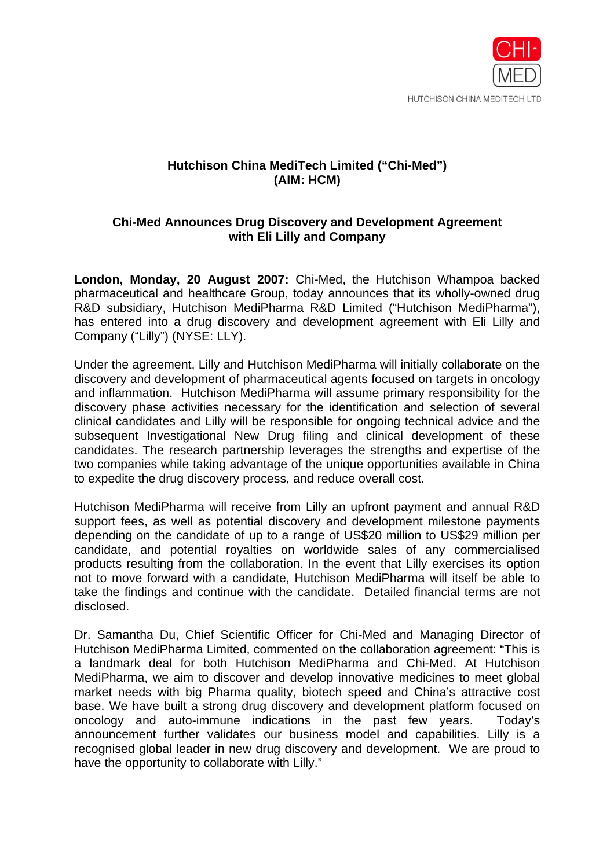

## **Hutchison China MediTech Limited ("Chi-Med") (AIM: HCM)**

## **Chi-Med Announces Drug Discovery and Development Agreement with Eli Lilly and Company**

**London, Monday, 20 August 2007:** Chi-Med, the Hutchison Whampoa backed pharmaceutical and healthcare Group, today announces that its wholly-owned drug R&D subsidiary, Hutchison MediPharma R&D Limited ("Hutchison MediPharma"), has entered into a drug discovery and development agreement with Eli Lilly and Company ("Lilly") (NYSE: LLY).

Under the agreement, Lilly and Hutchison MediPharma will initially collaborate on the discovery and development of pharmaceutical agents focused on targets in oncology and inflammation. Hutchison MediPharma will assume primary responsibility for the discovery phase activities necessary for the identification and selection of several clinical candidates and Lilly will be responsible for ongoing technical advice and the subsequent Investigational New Drug filing and clinical development of these candidates. The research partnership leverages the strengths and expertise of the two companies while taking advantage of the unique opportunities available in China to expedite the drug discovery process, and reduce overall cost.

Hutchison MediPharma will receive from Lilly an upfront payment and annual R&D support fees, as well as potential discovery and development milestone payments depending on the candidate of up to a range of US\$20 million to US\$29 million per candidate, and potential royalties on worldwide sales of any commercialised products resulting from the collaboration. In the event that Lilly exercises its option not to move forward with a candidate, Hutchison MediPharma will itself be able to take the findings and continue with the candidate. Detailed financial terms are not disclosed.

Dr. Samantha Du, Chief Scientific Officer for Chi-Med and Managing Director of Hutchison MediPharma Limited, commented on the collaboration agreement: "This is a landmark deal for both Hutchison MediPharma and Chi-Med. At Hutchison MediPharma, we aim to discover and develop innovative medicines to meet global market needs with big Pharma quality, biotech speed and China's attractive cost base. We have built a strong drug discovery and development platform focused on oncology and auto-immune indications in the past few years. Today's announcement further validates our business model and capabilities. Lilly is a recognised global leader in new drug discovery and development. We are proud to have the opportunity to collaborate with Lilly."